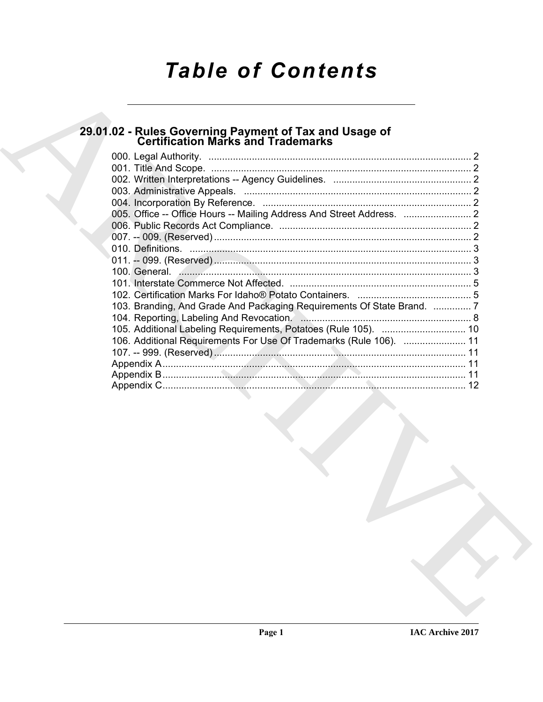# **Table of Contents**

# 29.01.02 - Rules Governing Payment of Tax and Usage of<br>Certification Marks and Trademarks

|  | 103. Branding, And Grade And Packaging Requirements Of State Brand.  7 |  |
|--|------------------------------------------------------------------------|--|
|  |                                                                        |  |
|  |                                                                        |  |
|  | 106. Additional Requirements For Use Of Trademarks (Rule 106).  11     |  |
|  |                                                                        |  |
|  |                                                                        |  |
|  |                                                                        |  |
|  |                                                                        |  |
|  |                                                                        |  |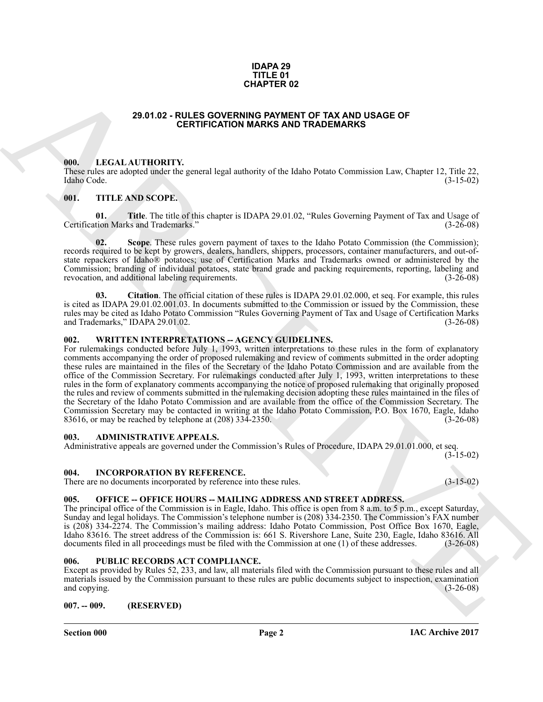#### **IDAPA 29 TITLE 01 CHAPTER 02**

## **29.01.02 - RULES GOVERNING PAYMENT OF TAX AND USAGE OF CERTIFICATION MARKS AND TRADEMARKS**

#### <span id="page-1-1"></span><span id="page-1-0"></span>**000. LEGAL AUTHORITY.**

These rules are adopted under the general legal authority of the Idaho Potato Commission Law, Chapter 12, Title 22, Idaho Code. (3-15-02) Idaho Code. (3-15-02)

# <span id="page-1-2"></span>**001. TITLE AND SCOPE.**

**01. Title**. The title of this chapter is IDAPA 29.01.02, "Rules Governing Payment of Tax and Usage of tion Marks and Trademarks." (3-26-08) Certification Marks and Trademarks."

**Scope**. These rules govern payment of taxes to the Idaho Potato Commission (the Commission); records required to be kept by growers, dealers, handlers, shippers, processors, container manufacturers, and out-ofstate repackers of Idaho® potatoes; use of Certification Marks and Trademarks owned or administered by the Commission; branding of individual potatoes, state brand grade and packing requirements, reporting, labeling and revocation, and additional labeling requirements. revocation, and additional labeling requirements.

**03. Citation**. The official citation of these rules is IDAPA 29.01.02.000, et seq. For example, this rules is cited as IDAPA 29.01.02.001.03. In documents submitted to the Commission or issued by the Commission, these rules may be cited as Idaho Potato Commission "Rules Governing Payment of Tax and Usage of Certification Marks and Trademarks," IDAPA 29.01.02. (3-26-08)

#### <span id="page-1-3"></span>**002. WRITTEN INTERPRETATIONS -- AGENCY GUIDELINES.**

**29.01.02 - RULES OCYENNER 02**<br> **CHAPTER 02**<br> **CHAPTER CONFIDENTIAL CONFIDENTS OF TAX AND USAGE OF<br>
THE CALL ATTENTIFICATION MARKS AND TRADEMARKS<br>
(III). IT AND NOTE TO CONFIDENT CONFIDENTS OF TAXING A CONFIDENT CONFIDENT** For rulemakings conducted before July 1, 1993, written interpretations to these rules in the form of explanatory comments accompanying the order of proposed rulemaking and review of comments submitted in the order adopting these rules are maintained in the files of the Secretary of the Idaho Potato Commission and are available from the office of the Commission Secretary. For rulemakings conducted after July 1, 1993, written interpretations to these rules in the form of explanatory comments accompanying the notice of proposed rulemaking that originally proposed the rules and review of comments submitted in the rulemaking decision adopting these rules maintained in the files of the Secretary of the Idaho Potato Commission and are available from the office of the Commission Secretary. The Commission Secretary may be contacted in writing at the Idaho Potato Commission, P.O. Box 1670, Eagle, Idaho 83616, or may be reached by telephone at (208) 334-2350. (3-26-08)

#### <span id="page-1-4"></span>**003. ADMINISTRATIVE APPEALS.**

Administrative appeals are governed under the Commission's Rules of Procedure, IDAPA 29.01.01.000, et seq. (3-15-02)

#### <span id="page-1-5"></span>**004. INCORPORATION BY REFERENCE.**

There are no documents incorporated by reference into these rules. (3-15-02)

# <span id="page-1-6"></span>**005. OFFICE -- OFFICE HOURS -- MAILING ADDRESS AND STREET ADDRESS.**

The principal office of the Commission is in Eagle, Idaho. This office is open from 8 a.m. to 5 p.m., except Saturday, Sunday and legal holidays. The Commission's telephone number is (208) 334-2350. The Commission's FAX number is (208) 334-2274. The Commission's mailing address: Idaho Potato Commission, Post Office Box 1670, Eagle, Idaho 83616. The street address of the Commission is: 661 S. Rivershore Lane, Suite 230, Eagle, Idaho 83616. All documents filed in all proceedings must be filed with the Commission at one (1) of these addresses. (3-26-08) documents filed in all proceedings must be filed with the Commission at one (1) of these addresses.

#### <span id="page-1-7"></span>PUBLIC RECORDS ACT COMPLIANCE.

Except as provided by Rules 52, 233, and law, all materials filed with the Commission pursuant to these rules and all materials issued by the Commission pursuant to these rules are public documents subject to inspection, examination and copying. (3-26-08)  $(3-26-08)$ 

### <span id="page-1-8"></span>**007. -- 009. (RESERVED)**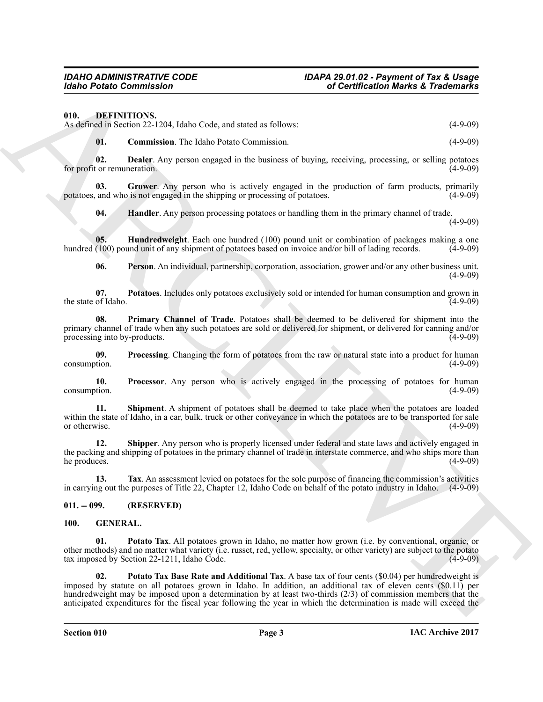<span id="page-2-3"></span><span id="page-2-0"></span>**010. DEFINITIONS.**

As defined in Section 22-1204, Idaho Code, and stated as follows: (4-9-09) (4-9-09)

<span id="page-2-5"></span><span id="page-2-4"></span>**01. Commission**. The Idaho Potato Commission. (4-9-09)

**02. Dealer**. Any person engaged in the business of buying, receiving, processing, or selling potatoes for profit or remuneration.

**03.** Grower. Any person who is actively engaged in the production of farm products, primarily and who is not engaged in the shipping or processing of potatoes. (4-9-09) potatoes, and who is not engaged in the shipping or processing of potatoes.

<span id="page-2-8"></span><span id="page-2-7"></span><span id="page-2-6"></span>**04. Handler**. Any person processing potatoes or handling them in the primary channel of trade.

 $(4-9-09)$ 

**05. Hundredweight**. Each one hundred (100) pound unit or combination of packages making a one (100) pound unit of any shipment of potatoes based on invoice and/or bill of lading records. (4-9-09) hundred (100) pound unit of any shipment of potatoes based on invoice and/or bill of lading records.

<span id="page-2-11"></span><span id="page-2-10"></span><span id="page-2-9"></span>**06. Person**. An individual, partnership, corporation, association, grower and/or any other business unit. (4-9-09)

**07. Potatoes**. Includes only potatoes exclusively sold or intended for human consumption and grown in the state of Idaho.

**08. Primary Channel of Trade**. Potatoes shall be deemed to be delivered for shipment into the primary channel of trade when any such potatoes are sold or delivered for shipment, or delivered for canning and/or processing into by-products. (4-9-09) processing into by-products.

<span id="page-2-12"></span>**09.** Processing. Changing the form of potatoes from the raw or natural state into a product for human (4-9-09) consumption.

<span id="page-2-13"></span>**10. Processor**. Any person who is actively engaged in the processing of potatoes for human (4-9-09) consumption.

<span id="page-2-14"></span>**11. Shipment**. A shipment of potatoes shall be deemed to take place when the potatoes are loaded within the state of Idaho, in a car, bulk, truck or other conveyance in which the potatoes are to be transported for sale<br>(4-9-09) or otherwise. (4-9-09)

<span id="page-2-15"></span>**12. Shipper**. Any person who is properly licensed under federal and state laws and actively engaged in the packing and shipping of potatoes in the primary channel of trade in interstate commerce, and who ships more than<br>(4-9-09) (4-9-09) he produces. (4-9-09)

<span id="page-2-16"></span>**13. Tax**. An assessment levied on potatoes for the sole purpose of financing the commission's activities in carrying out the purposes of Title 22, Chapter 12, Idaho Code on behalf of the potato industry in Idaho. (4-9-09)

#### <span id="page-2-1"></span>**011. -- 099. (RESERVED)**

#### <span id="page-2-18"></span><span id="page-2-17"></span><span id="page-2-2"></span>**100. GENERAL.**

<span id="page-2-19"></span>**Potato Tax**. All potatoes grown in Idaho, no matter how grown (i.e. by conventional, organic, or other methods) and no matter what variety (i.e. russet, red, yellow, specialty, or other variety) are subject to the potato tax imposed by Section 22-1211, Idaho Code. (4-9-09)

Gotio Pointe Commission Commission Commission Commission Commission Commission Commission Commission Commission Commission Commission Commission Commission Commission Commission Commission Commission Commission Commission **02. Potato Tax Base Rate and Additional Tax**. A base tax of four cents (\$0.04) per hundredweight is imposed by statute on all potatoes grown in Idaho. In addition, an additional tax of eleven cents (\$0.11) per hundredweight may be imposed upon a determination by at least two-thirds (2/3) of commission members that the anticipated expenditures for the fiscal year following the year in which the determination is made will exceed the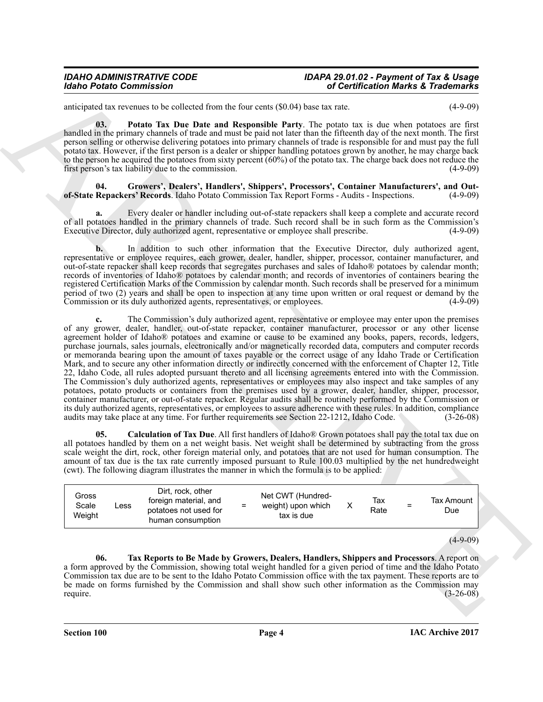anticipated tax revenues to be collected from the four cents (\$0.04) base tax rate. (4-9-09)

<span id="page-3-2"></span>**03. Potato Tax Due Date and Responsible Party**. The potato tax is due when potatoes are first handled in the primary channels of trade and must be paid not later than the fifteenth day of the next month. The first person selling or otherwise delivering potatoes into primary channels of trade is responsible for and must pay the full potato tax. However, if the first person is a dealer or shipper handling potatoes grown by another, he may charge back to the person he acquired the potatoes from sixty percent (60%) of the potato tax. The charge back does not reduce the first person's tax liability due to the commission. (4-9-09)

<span id="page-3-1"></span>Growers', Dealers', Handlers', Shippers', Processors', Container Manufacturers', and Out-<br> **Carriers' Records**. Idaho Potato Commission Tax Report Forms - Audits - Inspections. (4-9-09) of-State Repackers' Records. Idaho Potato Commission Tax Report Forms - Audits - Inspections.

**a.** Every dealer or handler including out-of-state repackers shall keep a complete and accurate record of all potatoes handled in the primary channels of trade. Such record shall be in such form as the Commission's Executive Director, duly authorized agent, representative or employee shall prescribe. (4-9-09)

**b.** In addition to such other information that the Executive Director, duly authorized agent, representative or employee requires, each grower, dealer, handler, shipper, processor, container manufacturer, and out-of-state repacker shall keep records that segregates purchases and sales of Idaho® potatoes by calendar month; records of inventories of Idaho® potatoes by calendar month; and records of inventories of containers bearing the registered Certification Marks of the Commission by calendar month. Such records shall be preserved for a minimum period of two (2) years and shall be open to inspection at any time upon written or oral request or demand by the Commission or its duly authorized agents, representatives, or employees. (4-9-09) Commission or its duly authorized agents, representatives, or employees.

Monito Praise Commission 16 Contribute the result of the result of the set of the set of the set of the set of the set of the set of the set of the set of the set of the set of the set of the set of the set of the set of **c.** The Commission's duly authorized agent, representative or employee may enter upon the premises of any grower, dealer, handler, out-of-state repacker, container manufacturer, processor or any other license agreement holder of Idaho® potatoes and examine or cause to be examined any books, papers, records, ledgers, purchase journals, sales journals, electronically and/or magnetically recorded data, computers and computer records or memoranda bearing upon the amount of taxes payable or the correct usage of any Idaho Trade or Certification Mark, and to secure any other information directly or indirectly concerned with the enforcement of Chapter 12, Title 22, Idaho Code, all rules adopted pursuant thereto and all licensing agreements entered into with the Commission. The Commission's duly authorized agents, representatives or employees may also inspect and take samples of any potatoes, potato products or containers from the premises used by a grower, dealer, handler, shipper, processor, container manufacturer, or out-of-state repacker. Regular audits shall be routinely performed by the Commission or its duly authorized agents, representatives, or employees to assure adherence with these rules. In addition, compliance audits may take place at any time. For further requirements see Section 22-1212, Idaho Code. (3-26-08)

<span id="page-3-0"></span>**05. Calculation of Tax Due**. All first handlers of Idaho® Grown potatoes shall pay the total tax due on all potatoes handled by them on a net weight basis. Net weight shall be determined by subtracting from the gross scale weight the dirt, rock, other foreign material only, and potatoes that are not used for human consumption. The amount of tax due is the tax rate currently imposed pursuant to Rule 100.03 multiplied by the net hundredweight (cwt). The following diagram illustrates the manner in which the formula is to be applied:

| Gross<br>Scale<br>$\mathsf{L}\mathsf{ess}$<br>Weight | Dirt, rock, other<br>foreign material, and<br>potatoes not used for<br>human consumption | $\equiv$ | Net CWT (Hundred-<br>weight) upon which<br>tax is due |  | Тах<br>Rate | Ξ | Tax Amount<br>Due |
|------------------------------------------------------|------------------------------------------------------------------------------------------|----------|-------------------------------------------------------|--|-------------|---|-------------------|
|------------------------------------------------------|------------------------------------------------------------------------------------------|----------|-------------------------------------------------------|--|-------------|---|-------------------|

 $(4-9-09)$ 

<span id="page-3-3"></span>**06. Tax Reports to Be Made by Growers, Dealers, Handlers, Shippers and Processors**. A report on a form approved by the Commission, showing total weight handled for a given period of time and the Idaho Potato Commission tax due are to be sent to the Idaho Potato Commission office with the tax payment. These reports are to be made on forms furnished by the Commission and shall show such other information as the Commission may require.  $(3-26-08)$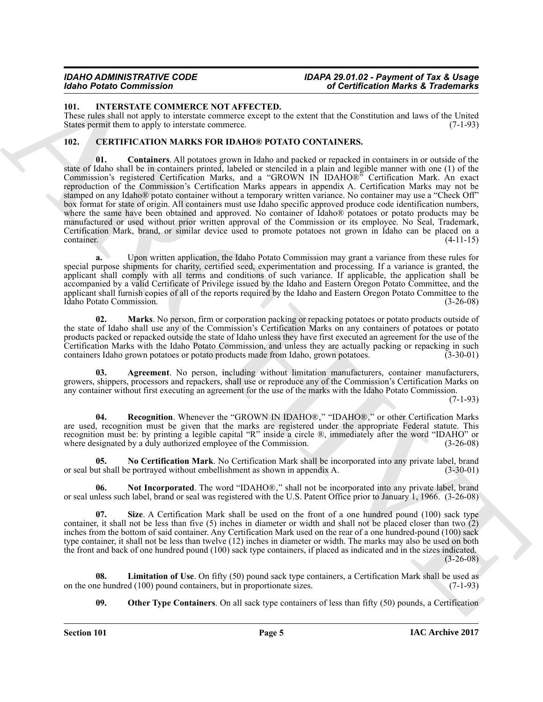### <span id="page-4-12"></span><span id="page-4-0"></span>**101. INTERSTATE COMMERCE NOT AFFECTED.**

These rules shall not apply to interstate commerce except to the extent that the Constitution and laws of the United States permit them to apply to interstate commerce. (7-1-93) States permit them to apply to interstate commerce.

### <span id="page-4-4"></span><span id="page-4-2"></span><span id="page-4-1"></span>**102. CERTIFICATION MARKS FOR IDAHO® POTATO CONTAINERS.**

Monora Dentrois Construction Market Construction Market Construction Market Eradiomistics (and the set of the set of the set of the set of the set of the set of the set of the set of the set of the set of the set of the s **01. Containers**. All potatoes grown in Idaho and packed or repacked in containers in or outside of the state of Idaho shall be in containers printed, labeled or stenciled in a plain and legible manner with one (1) of the Commission's registered Certification Marks, and a "GROWN IN IDAHO®" Certification Mark. An exact reproduction of the Commission's Certification Marks appears in appendix A. Certification Marks may not be stamped on any Idaho® potato container without a temporary written variance. No container may use a "Check Off" box format for state of origin. All containers must use Idaho specific approved produce code identification numbers, where the same have been obtained and approved. No container of Idaho® potatoes or potato products may be manufactured or used without prior written approval of the Commission or its employee. No Seal, Trademark, Certification Mark, brand, or similar device used to promote potatoes not grown in Idaho can be placed on a container. (4-11-15)

**a.** Upon written application, the Idaho Potato Commission may grant a variance from these rules for special purpose shipments for charity, certified seed, experimentation and processing. If a variance is granted, the applicant shall comply with all terms and conditions of such variance. If applicable, the application shall be accompanied by a valid Certificate of Privilege issued by the Idaho and Eastern Oregon Potato Committee, and the applicant shall furnish copies of all of the reports required by the Idaho and Eastern Oregon Potato Committee to the Idaho Potato Commission. (3-26-08) Idaho Potato Commission.

<span id="page-4-6"></span>**02.** Marks. No person, firm or corporation packing or repacking potatoes or potato products outside of the state of Idaho shall use any of the Commission's Certification Marks on any containers of potatoes or potato products packed or repacked outside the state of Idaho unless they have first executed an agreement for the use of the Certification Marks with the Idaho Potato Commission, and unless they are actually packing or repacking in such containers Idaho grown potatoes or potato products made from Idaho, grown potatoes. (3-30-01) containers Idaho grown potatoes or potato products made from Idaho, grown potatoes.

<span id="page-4-3"></span>**03. Agreement**. No person, including without limitation manufacturers, container manufacturers, growers, shippers, processors and repackers, shall use or reproduce any of the Commission's Certification Marks on any container without first executing an agreement for the use of the marks with the Idaho Potato Commission.

(7-1-93)

<span id="page-4-10"></span>**04. Recognition**. Whenever the "GROWN IN IDAHO®," "IDAHO®," or other Certification Marks are used, recognition must be given that the marks are registered under the appropriate Federal statute. This recognition must be: by printing a legible capital "R" inside a circle ®, immediately after the word "IDAHO" or where designated by a duly authorized employee of the Commission. (3-26-08)

<span id="page-4-7"></span>**05.** No Certification Mark. No Certification Mark shall be incorporated into any private label, brand ut shall be portraved without embellishment as shown in appendix A. (3-30-01) or seal but shall be portrayed without embellishment as shown in appendix A.

<span id="page-4-8"></span>**06.** Not Incorporated. The word "IDAHO®," shall not be incorporated into any private label, brand or seal unless such label, brand or seal was registered with the U.S. Patent Office prior to January 1, 1966. (3-26-08)

<span id="page-4-11"></span>**Size**. A Certification Mark shall be used on the front of a one hundred pound (100) sack type container, it shall not be less than five (5) inches in diameter or width and shall not be placed closer than two (2) inches from the bottom of said container. Any Certification Mark used on the rear of a one hundred-pound (100) sack type container, it shall not be less than twelve (12) inches in diameter or width. The marks may also be used on both the front and back of one hundred pound (100) sack type containers, if placed as indicated and in the sizes indicated. (3-26-08)

**08.** Limitation of Use. On fifty (50) pound sack type containers, a Certification Mark shall be used as ne hundred (100) pound containers, but in proportionate sizes. (7-1-93) on the one hundred  $(100)$  pound containers, but in proportionate sizes.

<span id="page-4-9"></span><span id="page-4-5"></span>**09.** Other Type Containers. On all sack type containers of less than fifty (50) pounds, a Certification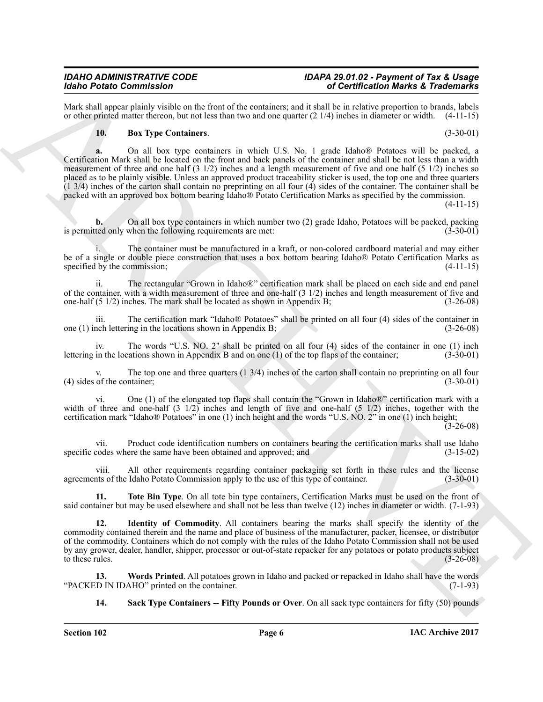Mark shall appear plainly visible on the front of the containers; and it shall be in relative proportion to brands, labels or other printed matter thereon, but not less than two and one quarter (2 1/4) inches in diameter or width. (4-11-15)

### <span id="page-5-0"></span>**10. Box Type Containers**. (3-30-01)

Mark Contents the base of the state of the contents of the Contents of the Schedule Rank Contents of the Schedule Rank Contents of the Contents of the Contents of the Contents of the Contents of the Contents of the Conten **a.** On all box type containers in which U.S. No. 1 grade Idaho® Potatoes will be packed, a Certification Mark shall be located on the front and back panels of the container and shall be not less than a width measurement of three and one half (3 1/2) inches and a length measurement of five and one half (5 1/2) inches so placed as to be plainly visible. Unless an approved product traceability sticker is used, the top one and three quarters  $(1\ 3/4)$  inches of the carton shall contain no preprinting on all four  $(4)$  sides of the container. The container shall be packed with an approved box bottom bearing Idaho® Potato Certification Marks as specified by the commission.

(4-11-15)

**b.** On all box type containers in which number two (2) grade Idaho, Potatoes will be packed, packing is permitted only when the following requirements are met: (3-30-01)

i. The container must be manufactured in a kraft, or non-colored cardboard material and may either be of a single or double piece construction that uses a box bottom bearing Idaho® Potato Certification Marks as specified by the commission; (4-11-15)

ii. The rectangular "Grown in Idaho®" certification mark shall be placed on each side and end panel of the container, with a width measurement of three and one-half  $(3 \frac{1}{2})$  inches and length measurement of five and one-half  $(5 \frac{1}{2})$  inches. The mark shall be located as shown in Appendix B;  $(3-26-08)$ one-half  $(5 \frac{1}{2})$  inches. The mark shall be located as shown in Appendix B;

iii. The certification mark "Idaho® Potatoes" shall be printed on all four (4) sides of the container in nch lettering in the locations shown in Appendix B;  $(3-26-08)$ one  $(1)$  inch lettering in the locations shown in Appendix B;

iv. The words "U.S. NO. 2" shall be printed on all four (4) sides of the container in one (1) inch lettering in the locations shown in Appendix B and on one (1) of the top flaps of the container; (3-30-01)

The top one and three quarters  $(1\ 3/4)$  inches of the carton shall contain no preprinting on all four ntainer;  $(3-30-01)$  $(4)$  sides of the container;

vi. One (1) of the elongated top flaps shall contain the "Grown in Idaho®" certification mark with a width of three and one-half  $(3 \frac{1}{2})$  inches and length of five and one-half  $(5 \frac{1}{2})$  inches, together with the certification mark "Idaho® Potatoes" in one (1) inch height and the words "U.S. NO. 2" in one (1) inch height;

 $(3-26-08)$ 

vii. Product code identification numbers on containers bearing the certification marks shall use Idaho codes where the same have been obtained and approved; and (3-15-02) specific codes where the same have been obtained and approved; and

viii. All other requirements regarding container packaging set forth in these rules and the license agreements of the Idaho Potato Commission apply to the use of this type of container. (3-30-01)

<span id="page-5-3"></span>**11. Tote Bin Type**. On all tote bin type containers, Certification Marks must be used on the front of said container but may be used elsewhere and shall not be less than twelve (12) inches in diameter or width. (7-1-93)

<span id="page-5-1"></span>**12. Identity of Commodity**. All containers bearing the marks shall specify the identity of the commodity contained therein and the name and place of business of the manufacturer, packer, licensee, or distributor of the commodity. Containers which do not comply with the rules of the Idaho Potato Commission shall not be used by any grower, dealer, handler, shipper, processor or out-of-state repacker for any potatoes or potato products subject to these rules.  $(3-26-08)$ 

**13.** Words Printed. All potatoes grown in Idaho and packed or repacked in Idaho shall have the words D IN IDAHO" printed on the container. "PACKED IN IDAHO" printed on the container.

<span id="page-5-4"></span><span id="page-5-2"></span>**14.** Sack Type Containers -- Fifty Pounds or Over. On all sack type containers for fifty (50) pounds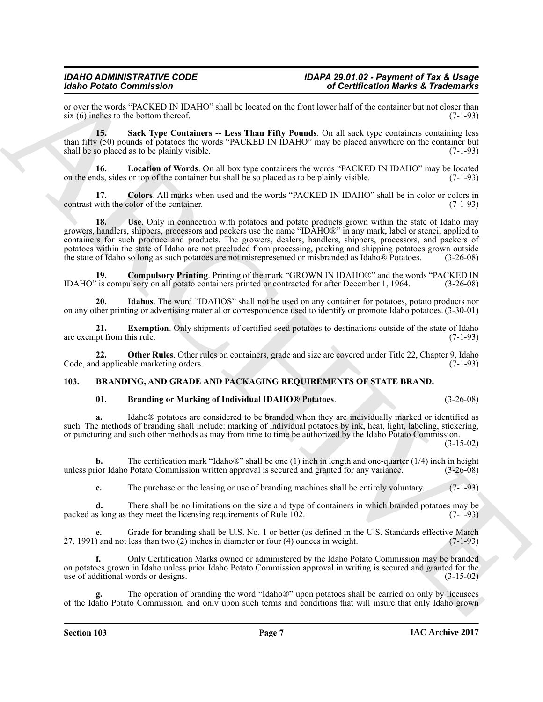or over the words "PACKED IN IDAHO" shall be located on the front lower half of the container but not closer than six (6) inches to the bottom thereof. (7-1-93) six  $(6)$  inches to the bottom thereof.

<span id="page-6-9"></span>**15.** Sack Type Containers -- Less Than Fifty Pounds. On all sack type containers containing less than fifty (50) pounds of potatoes the words "PACKED IN IDAHO" may be placed anywhere on the container but shall be so placed as to be plainly visible. (7-1-93)

<span id="page-6-7"></span>**16. Location of Words**. On all box type containers the words "PACKED IN IDAHO" may be located on the ends, sides or top of the container but shall be so placed as to be plainly visible. (7-1-93)

<span id="page-6-10"></span><span id="page-6-3"></span>**17.** Colors. All marks when used and the words "PACKED IN IDAHO" shall be in color or colors in with the color of the container. (7-1-93) contrast with the color of the container.

Moto Painter Contents (Alexandre Motella de la constitución de la constitución de la constitución de la constitución de la constitución de la constitución de la constitución de la constitución de la constitución de la con **18.** Use, Only in connection with potatoes and potato products grown within the state of Idaho may growers, handlers, shippers, processors and packers use the name "IDAHO®" in any mark, label or stencil applied to containers for such produce and products. The growers, dealers, handlers, shippers, processors, and packers of potatoes within the state of Idaho are not precluded from processing, packing and shipping potatoes grown outside the state of Idaho so long as such potatoes are not misrepresented or misbranded as Idaho® Potatoes. (3-26-0 the state of Idaho so long as such potatoes are not misrepresented or misbranded as Idaho® Potatoes.

<span id="page-6-4"></span>**19. Compulsory Printing**. Printing of the mark "GROWN IN IDAHO®" and the words "PACKED IN IDAHO" is compulsory on all potato containers printed or contracted for after December 1, 1964. (3-26-08)

<span id="page-6-6"></span>**20. Idahos**. The word "IDAHOS" shall not be used on any container for potatoes, potato products nor on any other printing or advertising material or correspondence used to identify or promote Idaho potatoes. (3-30-01)

<span id="page-6-5"></span>**21. Exemption**. Only shipments of certified seed potatoes to destinations outside of the state of Idaho pt from this rule. (7-1-93) are exempt from this rule.

**22. Other Rules**. Other rules on containers, grade and size are covered under Title 22, Chapter 9, Idaho d applicable marketing orders. (7-1-93) Code, and applicable marketing orders.

## <span id="page-6-0"></span>**103. BRANDING, AND GRADE AND PACKAGING REQUIREMENTS OF STATE BRAND.**

# <span id="page-6-8"></span><span id="page-6-2"></span><span id="page-6-1"></span>**01. Branding or Marking of Individual IDAHO® Potatoes**. (3-26-08)

**a.** Idaho<sup>®</sup> potatoes are considered to be branded when they are individually marked or identified as such. The methods of branding shall include: marking of individual potatoes by ink, heat, light, labeling, stickering, or puncturing and such other methods as may from time to time be authorized by the Idaho Potato Commission.

(3-15-02)

**b.** The certification mark "Idaho®" shall be one (1) inch in length and one-quarter (1/4) inch in height ior Idaho Potato Commission written approval is secured and granted for any variance. (3-26-08) unless prior Idaho Potato Commission written approval is secured and granted for any variance. (3-26-08)

**c.** The purchase or the leasing or use of branding machines shall be entirely voluntary. (7-1-93)

**d.** There shall be no limitations on the size and type of containers in which branded potatoes may be s long as they meet the licensing requirements of Rule 102. (7-1-93) packed as long as they meet the licensing requirements of Rule  $102$ .

Grade for branding shall be U.S. No. 1 or better (as defined in the U.S. Standards effective March less than two (2) inches in diameter or four (4) ounces in weight. (7-1-93)  $27, 1991$ ) and not less than two  $(2)$  inches in diameter or four  $(4)$  ounces in weight.

**f.** Only Certification Marks owned or administered by the Idaho Potato Commission may be branded on potatoes grown in Idaho unless prior Idaho Potato Commission approval in writing is secured and granted for the use of additional words or designs. (3-15-02)

The operation of branding the word "Idaho®" upon potatoes shall be carried on only by licensees of the Idaho Potato Commission, and only upon such terms and conditions that will insure that only Idaho grown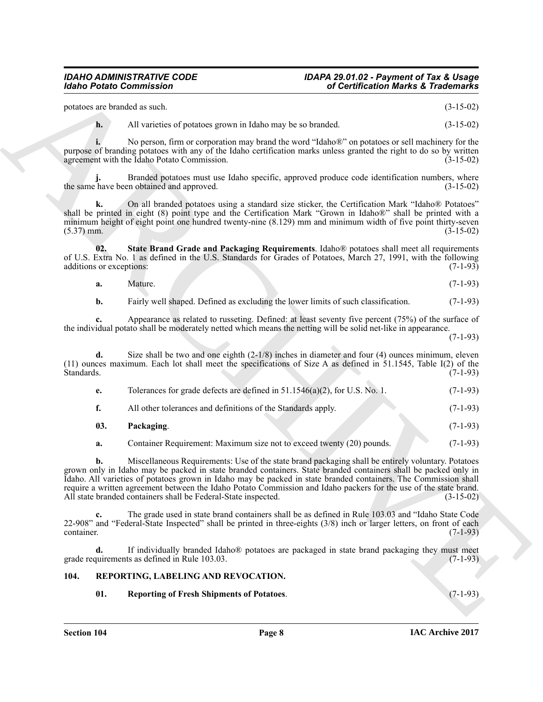| potatoes are branded as such. | $(3-15-02)$ |  |
|-------------------------------|-------------|--|
|                               |             |  |

<span id="page-7-2"></span><span id="page-7-1"></span>

| a. | Mature. |  |  | $(7-1-93)$ |
|----|---------|--|--|------------|
|----|---------|--|--|------------|

|                                 | <b>Idaho Potato Commission</b>                                                                                                                                                                                                                                                                                                                                                                                                                                                                                                  | of Certification Marks & Trademarks |  |  |
|---------------------------------|---------------------------------------------------------------------------------------------------------------------------------------------------------------------------------------------------------------------------------------------------------------------------------------------------------------------------------------------------------------------------------------------------------------------------------------------------------------------------------------------------------------------------------|-------------------------------------|--|--|
| potatoes are branded as such.   |                                                                                                                                                                                                                                                                                                                                                                                                                                                                                                                                 | $(3-15-02)$                         |  |  |
| h.                              | All varieties of potatoes grown in Idaho may be so branded.                                                                                                                                                                                                                                                                                                                                                                                                                                                                     | $(3-15-02)$                         |  |  |
|                                 | No person, firm or corporation may brand the word "Idaho®" on potatoes or sell machinery for the<br>purpose of branding potatoes with any of the Idaho certification marks unless granted the right to do so by written<br>agreement with the Idaho Potato Commission.                                                                                                                                                                                                                                                          | $(3-15-02)$                         |  |  |
|                                 | Branded potatoes must use Idaho specific, approved produce code identification numbers, where<br>the same have been obtained and approved.                                                                                                                                                                                                                                                                                                                                                                                      | $(3-15-02)$                         |  |  |
| $(5.37)$ mm.                    | On all branded potatoes using a standard size sticker, the Certification Mark "Idaho® Potatoes"<br>shall be printed in eight (8) point type and the Certification Mark "Grown in Idaho®" shall be printed with a<br>minimum height of eight point one hundred twenty-nine (8.129) mm and minimum width of five point thirty-seven                                                                                                                                                                                               | $(3-15-02)$                         |  |  |
| 02.<br>additions or exceptions: | State Brand Grade and Packaging Requirements. Idaho® potatoes shall meet all requirements<br>of U.S. Extra No. 1 as defined in the U.S. Standards for Grades of Potatoes, March 27, 1991, with the following                                                                                                                                                                                                                                                                                                                    | $(7-1-93)$                          |  |  |
| a.                              | Mature.                                                                                                                                                                                                                                                                                                                                                                                                                                                                                                                         | $(7-1-93)$                          |  |  |
| b.                              | Fairly well shaped. Defined as excluding the lower limits of such classification.                                                                                                                                                                                                                                                                                                                                                                                                                                               | $(7-1-93)$                          |  |  |
|                                 | Appearance as related to russeting. Defined: at least seventy five percent (75%) of the surface of<br>the individual potato shall be moderately netted which means the netting will be solid net-like in appearance.                                                                                                                                                                                                                                                                                                            | $(7-1-93)$                          |  |  |
| d.<br>Standards.                | Size shall be two and one eighth $(2-1/8)$ inches in diameter and four (4) ounces minimum, eleven<br>(11) ounces maximum. Each lot shall meet the specifications of Size A as defined in 51.1545, Table I(2) of the                                                                                                                                                                                                                                                                                                             | $(7-1-93)$                          |  |  |
| e.                              | Tolerances for grade defects are defined in 51.1546(a)(2), for U.S. No. 1.                                                                                                                                                                                                                                                                                                                                                                                                                                                      | $(7-1-93)$                          |  |  |
| f.                              | All other tolerances and definitions of the Standards apply.                                                                                                                                                                                                                                                                                                                                                                                                                                                                    | $(7-1-93)$                          |  |  |
| 03.                             | Packaging.                                                                                                                                                                                                                                                                                                                                                                                                                                                                                                                      | $(7-1-93)$                          |  |  |
| a.                              | Container Requirement: Maximum size not to exceed twenty (20) pounds.                                                                                                                                                                                                                                                                                                                                                                                                                                                           | $(7-1-93)$                          |  |  |
|                                 | Miscellaneous Requirements: Use of the state brand packaging shall be entirely voluntary. Potatoes<br>grown only in Idaho may be packed in state branded containers. State branded containers shall be packed only in<br>Idaho. All varieties of potatoes grown in Idaho may be packed in state branded containers. The Commission shall<br>require a written agreement between the Idaho Potato Commission and Idaho packers for the use of the state brand.<br>All state branded containers shall be Federal-State inspected. | $(3-15-02)$                         |  |  |
| $c_{\cdot}$<br>container.       | The grade used in state brand containers shall be as defined in Rule 103.03 and "Idaho State Code"<br>22-908" and "Federal-State Inspected" shall be printed in three-eights (3/8) inch or larger letters, on front of each                                                                                                                                                                                                                                                                                                     | $(7-1-93)$                          |  |  |
| d.                              | If individually branded Idaho® potatoes are packaged in state brand packaging they must meet<br>grade requirements as defined in Rule 103.03.                                                                                                                                                                                                                                                                                                                                                                                   | $(7-1-93)$                          |  |  |
| 104.                            | REPORTING, LABELING AND REVOCATION.                                                                                                                                                                                                                                                                                                                                                                                                                                                                                             |                                     |  |  |
|                                 |                                                                                                                                                                                                                                                                                                                                                                                                                                                                                                                                 |                                     |  |  |

# <span id="page-7-4"></span><span id="page-7-3"></span><span id="page-7-0"></span>**104. REPORTING, LABELING AND REVOCATION.**

**Section 104 Page 8**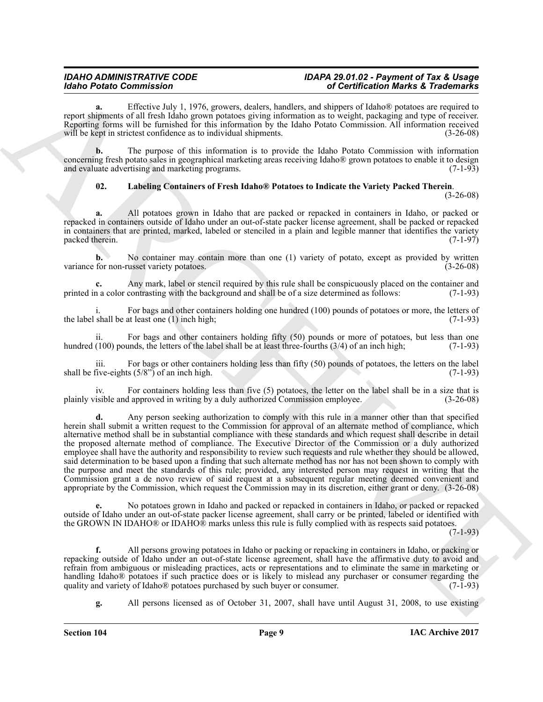**a.** Effective July 1, 1976, growers, dealers, handlers, and shippers of Idaho® potatoes are required to report shipments of all fresh Idaho grown potatoes giving information as to weight, packaging and type of receiver. Reporting forms will be furnished for this information by the Idaho Potato Commission. All information received will be kept in strictest confidence as to individual shipments. (3-26-08)

**b.** The purpose of this information is to provide the Idaho Potato Commission with information concerning fresh potato sales in geographical marketing areas receiving Idaho® grown potatoes to enable it to design and evaluate advertising and marketing programs. (7-1-93)

# <span id="page-8-0"></span>**02. Labeling Containers of Fresh Idaho® Potatoes to Indicate the Variety Packed Therein**.

(3-26-08)

**a.** All potatoes grown in Idaho that are packed or repacked in containers in Idaho, or packed or repacked in containers outside of Idaho under an out-of-state packer license agreement, shall be packed or repacked in containers that are printed, marked, labeled or stenciled in a plain and legible manner that identifies the variety packed therein. (7-1-97) packed therein.

**b.** No container may contain more than one (1) variety of potato, except as provided by written variance for non-russet variety potatoes. (3-26-08)

Any mark, label or stencil required by this rule shall be conspicuously placed on the container and contrasting with the background and shall be of a size determined as follows: (7-1-93) printed in a color contrasting with the background and shall be of a size determined as follows:

For bags and other containers holding one hundred (100) pounds of potatoes or more, the letters of the label shall be at least one (1) inch high; (7-1-93)  $(7-1-93)$ 

ii. For bags and other containers holding fifty  $(50)$  pounds or more of potatoes, but less than one  $(100)$  pounds, the letters of the label shall be at least three-fourths  $(3/4)$  of an inch high;  $(7-1-93)$ hundred (100) pounds, the letters of the label shall be at least three-fourths  $(3/4)$  of an inch high;

iii. For bags or other containers holding less than fifty (50) pounds of potatoes, the letters on the label  $(7-1-93)$  (7-1-93) shall be five-eights  $(5/8)$ <sup>7</sup> of an inch high.

For containers holding less than five  $(5)$  potatoes, the letter on the label shall be in a size that is plainly visible and approved in writing by a duly authorized Commission employee. (3-26-08)

**Extra Consension Consensus a state of the singular consensus and a state of the singular state of the singular state of the singular state of the singular state of the singular state of the singular state of the singula d.** Any person seeking authorization to comply with this rule in a manner other than that specified herein shall submit a written request to the Commission for approval of an alternate method of compliance, which alternative method shall be in substantial compliance with these standards and which request shall describe in detail the proposed alternate method of compliance. The Executive Director of the Commission or a duly authorized employee shall have the authority and responsibility to review such requests and rule whether they should be allowed, said determination to be based upon a finding that such alternate method has nor has not been shown to comply with the purpose and meet the standards of this rule; provided, any interested person may request in writing that the Commission grant a de novo review of said request at a subsequent regular meeting deemed convenient and appropriate by the Commission, which request the Commission may in its discretion, either grant or deny. (3-26-08)

**e.** No potatoes grown in Idaho and packed or repacked in containers in Idaho, or packed or repacked outside of Idaho under an out-of-state packer license agreement, shall carry or be printed, labeled or identified with the GROWN IN IDAHO® or IDAHO® marks unless this rule is fully complied with as respects said potatoes.

 $(7-1-93)$ 

**f.** All persons growing potatoes in Idaho or packing or repacking in containers in Idaho, or packing or repacking outside of Idaho under an out-of-state license agreement, shall have the affirmative duty to avoid and refrain from ambiguous or misleading practices, acts or representations and to eliminate the same in marketing or handling Idaho® potatoes if such practice does or is likely to mislead any purchaser or consumer regarding the quality and variety of Idaho® potatoes purchased by such buyer or consumer. (7-1-93) quality and variety of Idaho® potatoes purchased by such buyer or consumer.

**g.** All persons licensed as of October 31, 2007, shall have until August 31, 2008, to use existing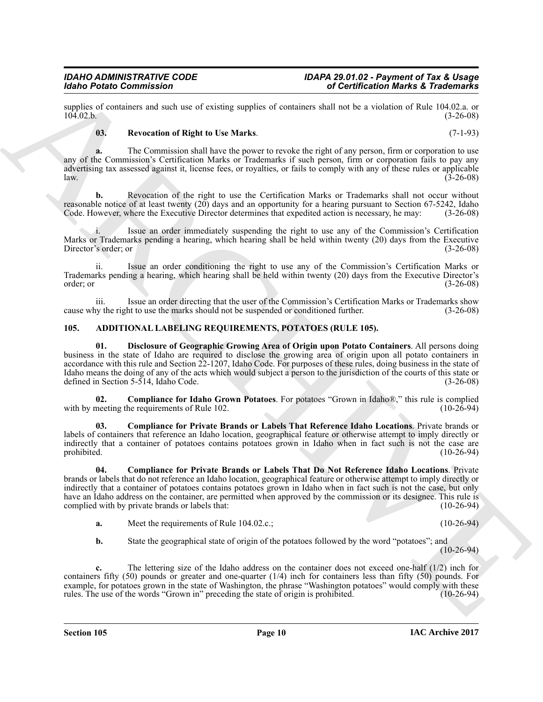supplies of containers and such use of existing supplies of containers shall not be a violation of Rule 104.02.a. or 104.02.b. (3-26-08)  $104.02 \text{ b.}$  (3-26-08)

# <span id="page-9-6"></span>**03. Revocation of Right to Use Marks**. (7-1-93)

**a.** The Commission shall have the power to revoke the right of any person, firm or corporation to use any of the Commission's Certification Marks or Trademarks if such person, firm or corporation fails to pay any advertising tax assessed against it, license fees, or royalties, or fails to comply with any of these rules or applicable  $l$ aw.  $(3-26-08)$ 

**b.** Revocation of the right to use the Certification Marks or Trademarks shall not occur without reasonable notice of at least twenty  $(20)$  days and an opportunity for a hearing pursuant to Section 67-5242, Idaho Code. However, where the Executive Director determines that expedited action is necessary, he may:  $(3-2$ Code. However, where the Executive Director determines that expedited action is necessary, he may:

Issue an order immediately suspending the right to use any of the Commission's Certification Marks or Trademarks pending a hearing, which hearing shall be held within twenty (20) days from the Executive Director's order; or (3-26-08) Director's order; or

ii. Issue an order conditioning the right to use any of the Commission's Certification Marks or Trademarks pending a hearing, which hearing shall be held within twenty (20) days from the Executive Director's  $\sigma$ order; or  $(3-26-08)$ 

iii. Issue an order directing that the user of the Commission's Certification Marks or Trademarks show by the right to use the marks should not be suspended or conditioned further. (3-26-08) cause why the right to use the marks should not be suspended or conditioned further.

# <span id="page-9-1"></span><span id="page-9-0"></span>**105. ADDITIONAL LABELING REQUIREMENTS, POTATOES (RULE 105).**

<span id="page-9-5"></span>**01. Disclosure of Geographic Growing Area of Origin upon Potato Containers**. All persons doing business in the state of Idaho are required to disclose the growing area of origin upon all potato containers in accordance with this rule and Section 22-1207, Idaho Code. For purposes of these rules, doing business in the state of Idaho means the doing of any of the acts which would subject a person to the jurisdiction of the courts of this state or defined in Section 5-514, Idaho Code. defined in Section  $5-514$ , Idaho Code.

<span id="page-9-2"></span>**02. Compliance for Idaho Grown Potatoes**. For potatoes "Grown in Idaho®," this rule is complied meeting the requirements of Rule 102. (10-26-94) with by meeting the requirements of Rule 102.

<span id="page-9-4"></span>**03. Compliance for Private Brands or Labels That Reference Idaho Locations**. Private brands or labels of containers that reference an Idaho location, geographical feature or otherwise attempt to imply directly or indirectly that a container of potatoes contains potatoes grown in Idaho when in fact such is not the case are<br>prohibited. (10-26-94) prohibited. (10-26-94)

Monito Painto Commission Commission Commission Commission Commission Commission Commission Commission Commission Commission Commission Commission Commission Commission Commission Commission Commission Commission Commissio **04. Compliance for Private Brands or Labels That Do Not Reference Idaho Locations**. Private brands or labels that do not reference an Idaho location, geographical feature or otherwise attempt to imply directly or indirectly that a container of potatoes contains potatoes grown in Idaho when in fact such is not the case, but only have an Idaho address on the container, are permitted when approved by the commission or its designee. This rule is complied with by private brands or labels that: (10-26-94) complied with by private brands or labels that:

- <span id="page-9-3"></span>**a.** Meet the requirements of Rule 104.02.c.; (10-26-94)
- **b.** State the geographical state of origin of the potatoes followed by the word "potatoes"; and (10-26-94)

**c.** The lettering size of the Idaho address on the container does not exceed one-half (1/2) inch for containers fifty (50) pounds or greater and one-quarter (1/4) inch for containers less than fifty (50) pounds. For example, for potatoes grown in the state of Washington, the phrase "Washington potatoes" would comply with these rules. The use of the words "Grown in" preceding the state of origin is prohibited. (10-26-94)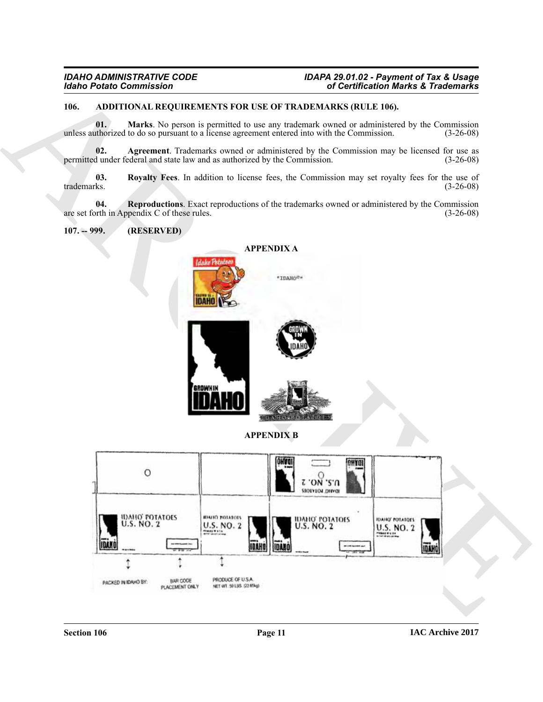# <span id="page-10-4"></span><span id="page-10-0"></span>**106. ADDITIONAL REQUIREMENTS FOR USE OF TRADEMARKS (RULE 106).**

<span id="page-10-6"></span>**01. Marks**. No person is permitted to use any trademark owned or administered by the Commission uthorized to do so pursuant to a license agreement entered into with the Commission. (3-26-08) unless authorized to do so pursuant to a license agreement entered into with the Commission.

<span id="page-10-5"></span>**02. Agreement**. Trademarks owned or administered by the Commission may be licensed for use as dunder federal and state law and as authorized by the Commission. (3-26-08) permitted under federal and state law and as authorized by the Commission.

<span id="page-10-8"></span>**03.** Royalty Fees. In addition to license fees, the Commission may set royalty fees for the use of trademarks. (3-26-08) trademarks. (3-26-08)

**04.** Reproductions. Exact reproductions of the trademarks owned or administered by the Commission orth in Appendix C of these rules. are set forth in Appendix C of these rules.

<span id="page-10-2"></span><span id="page-10-1"></span>**107. -- 999. (RESERVED)**

<span id="page-10-7"></span>

<span id="page-10-3"></span>**APPENDIX B**

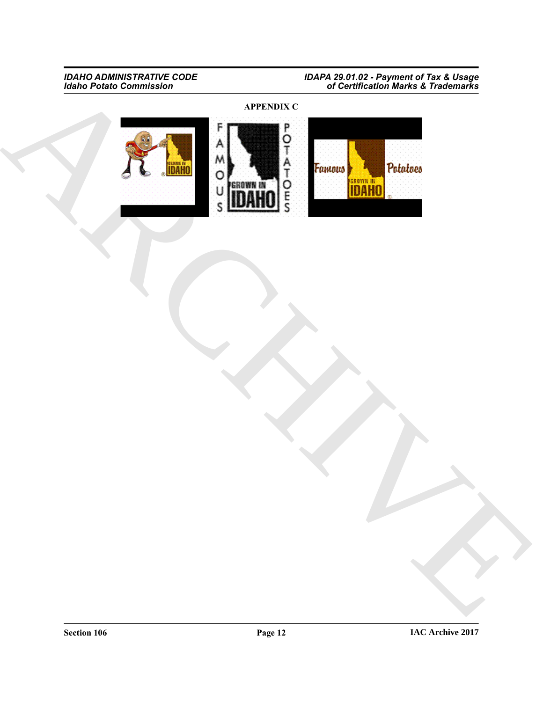**APPENDIX C**

<span id="page-11-0"></span>